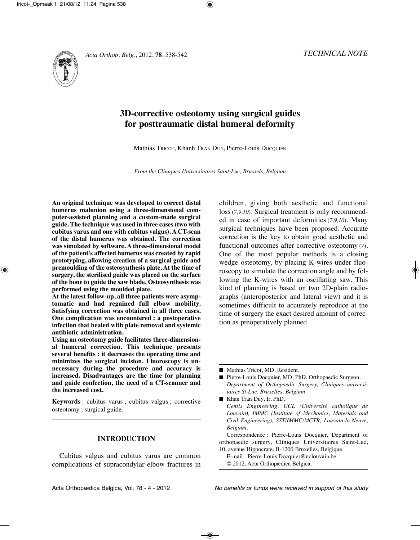



# **3D-corrective osteotomy using surgical guides for posttraumatic distal humeral deformity**

Mathias TRICOT, Khanh TRAn DUy, Pierre-Louis DOCqUIER

*From the Cliniques Universitaires Saint-Luc, Brussels, Belgium*

**An original technique was developed to correct distal humerus malunion using a three-dimensional computer-assisted planning and a custom-made surgical guide. The technique was used in three cases (two with cubitus varus and one with cubitus valgus). A CT-scan of the distal humerus was obtained. The correction was simulated by software. A three-dimensional model of the patient's affected humerus was created by rapid prototyping, allowing creation of a surgical guide and premoulding of the osteosynthesis plate. At the time of surgery, the sterilised guide was placed on the surface** of the bone to guide the saw blade. Osteosynthesis was **performed using the moulded plate.** 

**At the latest follow-up, all three patients were asymptomatic and had regained full elbow mobility. Satisfying correction was obtained in all three cases. One complication was encountered : a postoperative infection that healed with plate removal and systemic antibiotic administration.**

**Using an osteotomy guide facilitates three-dimensional humeral correction. This technique presents several benefits : it decreases the operating time and minimizes the surgical incision. Fluoroscopy is un necessary during the procedure and accuracy is increased. Disadvantages are the time for planning and guide confection, the need of a CT-scanner and the increased cost.**

**Keywords** : cubitus varus ; cubitus valgus ; corrective osteotomy ; surgical guide.

# **INTRODUCTION**

Cubitus valgus and cubitus varus are common complications of supracondylar elbow fractures in children, giving both aesthetic and functional loss (*7,9,10*). Surgical treatment is only recommended in case of important deformities (*7,9,10*). Many surgical techniques have been proposed. Accurate correction is the key to obtain good aesthetic and functional outcomes after corrective osteotomy (*7*). One of the most popular methods is a closing wedge osteotomy, by placing K-wires under fluoroscopy to simulate the correction angle and by following the K-wires with an oscillating saw. This kind of planning is based on two 2D-plain radio graphs (anteroposterior and lateral view) and it is sometimes difficult to accurately reproduce at the time of surgery the exact desired amount of correction as preoperatively planned.

■ Mathias Tricot, MD, Resident.

■ Pierre-Louis Docquier, MD, PhD, Orthopaedic Surgeon. *Department of Orthopaedic Surgery, Cliniques universitaires St-Luc, Bruxelles, Belgium.*

■ Khan Tran Duy, Ir, PhD. *Centis Engineering, UCL (Université catholique de Louvain), IMMC (Institute of Mechanics, Materials and Civil Engineering), SST/IMMC/MCTR, Louvain-la-Neuve, Belgium.*

Correspondence : Pierre-Louis Docquier, Department of orthopaedic surgery, Cliniques Universitaires Saint-Luc, 10, avenue Hippocrate, B-1200 Bruxelles, Belgique.

E-mail : Pierre-Louis.Docquier@uclouvain.be © 2012, Acta Orthopædica Belgica.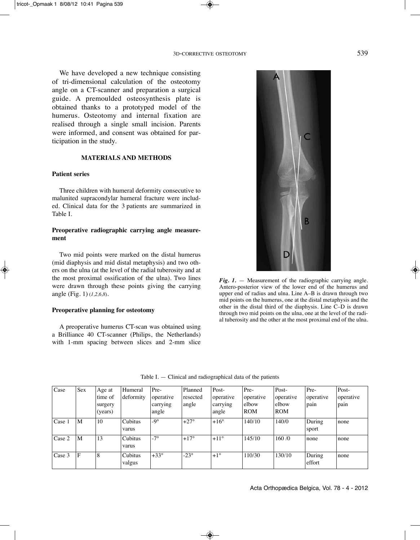We have developed a new technique consisting of tri-dimensional calculation of the osteotomy angle on a CT-scanner and preparation a surgical guide. A premoulded osteosynthesis plate is obtained thanks to a prototyped model of the humerus. Osteotomy and internal fixation are realised through a single small incision. Parents were informed, and consent was obtained for participation in the study.

# **MATERIALS AND METHODS**

## **Patient series**

Three children with humeral deformity consecutive to malunited supracondylar humeral fracture were included. Clinical data for the 3 patients are summarized in Table I.

## **Preoperative radiographic carrying angle measurement**

Two mid points were marked on the distal humerus (mid diaphysis and mid distal metaphysis) and two others on the ulna (at the level of the radial tuberosity and at the most proximal ossification of the ulna). Two lines were drawn through these points giving the carrying angle (Fig. 1) (*1,2,6,8*).

#### **Preoperative planning for osteotomy**

A preoperative humerus CT-scan was obtained using a Brilliance 40 CT-scanner (Philips, the Netherlands) with 1-mm spacing between slices and 2-mm slice

R B *Fig. 1.* — Measurement of the radiographic carrying angle.

Antero-posterior view of the lower end of the humerus and upper end of radius and ulna. Line A–B is drawn through two mid points on the humerus, one at the distal metaphysis and the other in the distal third of the diaphysis. Line C–D is drawn through two mid points on the ulna, one at the level of the radial tuberosity and the other at the most proximal end of the ulna.

| Case             | <b>Sex</b> | Age at  | Humeral   | Pre-        | Planned     | Post-         | Pre-       | Post-      | Pre-      | Post-     |
|------------------|------------|---------|-----------|-------------|-------------|---------------|------------|------------|-----------|-----------|
|                  |            | time of | deformity | operative   | resected    | operative     | operative  | operative  | operative | operative |
|                  |            | surgery |           | carrying    | angle       | carrying      | elbow      | elbow      | pain      | pain      |
|                  |            | (years) |           | angle       |             | angle         | <b>ROM</b> | <b>ROM</b> |           |           |
| Case 1           | M          | 10      | Cubitus   | $-9^\circ$  | $+27^\circ$ | $+16^\circ$   | 140/10     | 140/0      | During    | none      |
|                  |            |         | varus     |             |             |               |            |            | sport     |           |
| $\text{Case} 2$  | M          | 13      | Cubitus   | $-7^\circ$  | $+17^\circ$ | $+11^{\circ}$ | 145/10     | 160/0      | none      | none      |
|                  |            |         | varus     |             |             |               |            |            |           |           |
| $\text{Case } 3$ | F          | 8       | Cubitus   | $+33^\circ$ | $-23^\circ$ | $+1^{\circ}$  | 110/30     | 130/10     | During    | none      |
|                  |            |         | valgus    |             |             |               |            |            | effort    |           |

Table I. — Clinical and radiographical data of the patients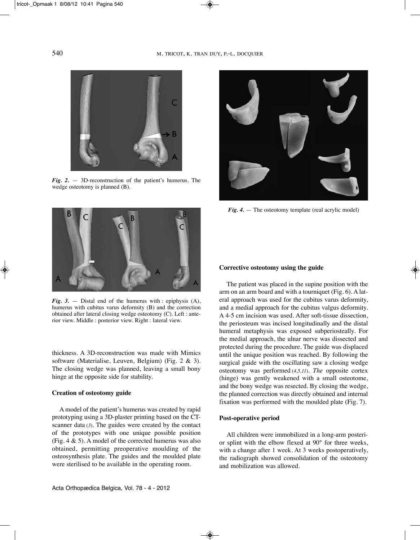

*Fig. 2.* — 3D-reconstruction of the patient's humerus. The wedge osteotomy is planned (B).



*Fig. 3.* — Distal end of the humerus with : epiphysis (A), humerus with cubitus varus deformity (B) and the correction obtained after lateral closing wedge osteotomy (C). Left : anterior view. Middle : posterior view. Right : lateral view.

thickness. A 3D-reconstruction was made with Mimics software (Materialise, Leuven, Belgium) (Fig. 2 & 3). The closing wedge was planned, leaving a small bony hinge at the opposite side for stability.

#### **Creation of osteotomy guide**

A model of the patient's humerus was created by rapid prototyping using a 3D-plaster printing based on the CTscanner data (*3*). The guides were created by the contact of the prototypes with one unique possible position (Fig.  $4 \& 5$ ). A model of the corrected humerus was also obtained, permitting preoperative moulding of the osteosynthesis plate. The guides and the moulded plate were sterilised to be available in the operating room.



*Fig.* 4. — The osteotomy template (real acrylic model)

### **Corrective osteotomy using the guide**

The patient was placed in the supine position with the arm on an arm board and with a tourniquet (Fig. 6). A lateral approach was used for the cubitus varus deformity, and a medial approach for the cubitus valgus deformity. A 4-5 cm incision was used. After soft-tissue dissection, the periosteum was incised longitudinally and the distal humeral metaphysis was exposed subperiosteally. For the medial approach, the ulnar nerve was dissected and protected during the procedure. The guide was displaced until the unique position was reached. By following the surgical guide with the oscillating saw a closing wedge osteotomy was performed (*4,5,11*). *The* opposite cortex (hinge) was gently weakened with a small osteotome, and the bony wedge was resected. By closing the wedge, the planned correction was directly obtained and internal fixation was performed with the moulded plate (Fig. 7).

### **Post-operative period**

All children were immobilized in a long-arm posterior splint with the elbow flexed at 90° for three weeks, with a change after 1 week. At 3 weeks postoperatively, the radiograph showed consolidation of the osteotomy and mobilization was allowed.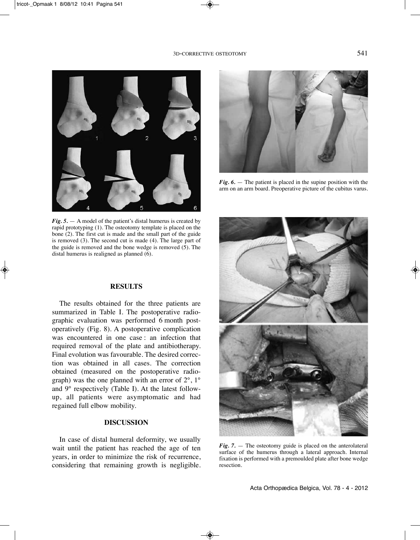

*Fig. 6.* — The patient is placed in the supine position with the arm on an arm board. Preoperative picture of the cubitus varus.

*Fig. 5.* — A model of the patient's distal humerus is created by rapid prototyping (1). The osteotomy template is placed on the bone (2). The first cut is made and the small part of the guide is removed (3). The second cut is made (4). The large part of the guide is removed and the bone wedge is removed (5). The distal humerus is realigned as planned (6).

# **RESULTS**

The results obtained for the three patients are summarized in Table I. The postoperative radiographic evaluation was performed 6 month postoperatively (Fig. 8). A postoperative complication was encountered in one case : an infection that required removal of the plate and antibiotherapy. Final evolution was favourable. The desired correction was obtained in all cases. The correction obtained (measured on the postoperative radiograph) was the one planned with an error of 2°, 1° and 9° respectively (Table I). At the latest followup, all patients were asymptomatic and had regained full elbow mobility.

# **DISCUSSION**

In case of distal humeral deformity, we usually wait until the patient has reached the age of ten years, in order to minimize the risk of recurrence, considering that remaining growth is negligible.



*Fig. 7.* — The osteotomy guide is placed on the anterolateral surface of the humerus through a lateral approach. Internal fixation is performed with a premoulded plate after bone wedge resection.